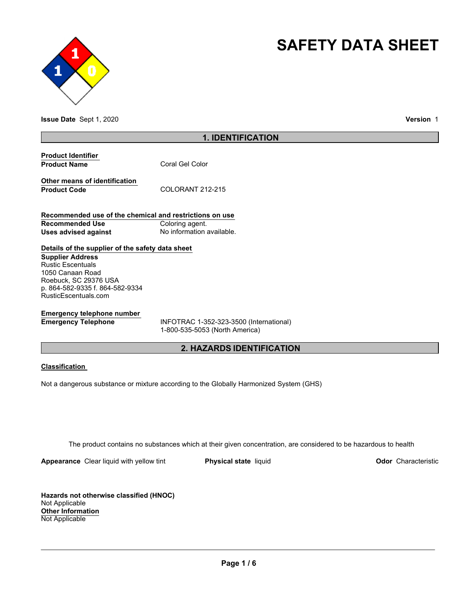



**Issue Date** Sept 1, 2020 **Version** 1

# **1. IDENTIFICATION**

| <b>Product Identifier</b> |                 |
|---------------------------|-----------------|
| <b>Product Name</b>       | Coral Gel Color |

**Other means of identification** Product Code COLORANT 212-215

**Recommended use of the chemical and restrictions on use Recommended Use Coloring agent. Uses advised against No information available.** 

# **Details of the supplier of the safety data sheet**

**Supplier Address** Rustic Escentuals 1050 Canaan Road Roebuck, SC 29376 USA p. 864-582-9335 f. 864-582-9334 RusticEscentuals.com

# **Emergency telephone number**

**Emergency Telephone** INFOTRAC 1-352-323-3500 (International) 1-800-535-5053 (North America)

# **2. HAZARDS IDENTIFICATION**

## **Classification**

Not a dangerous substance or mixture according to the Globally Harmonized System (GHS)

The product contains no substances which at their given concentration, are considered to be hazardous to health

**Appearance** Clear liquid with yellow tint **Physical state** liquid **Physical state Construction Odor** Characteristic

**Hazards not otherwise classified (HNOC)** Not Applicable **Other Information** Not Applicable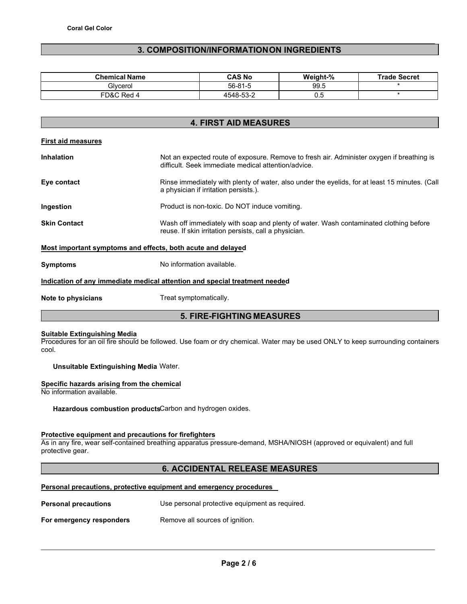# **3. COMPOSITION/INFORMATION ON INGREDIENTS**

| <b>Chemical Name</b> | CAS No        | Weight-% | <b>Trade Secret</b> |
|----------------------|---------------|----------|---------------------|
| Glvcerol             | $56 - 81 - 5$ | 99.5     |                     |
| FD&C Red             | 4548-53-2     | 0.5      |                     |

# **4. FIRST AID MEASURES**

|  | <b>First aid measures</b> |
|--|---------------------------|
|  |                           |

| <b>Inhalation</b>   | Not an expected route of exposure. Remove to fresh air. Administer oxygen if breathing is<br>difficult. Seek immediate medical attention/advice. |
|---------------------|--------------------------------------------------------------------------------------------------------------------------------------------------|
| Eye contact         | Rinse immediately with plenty of water, also under the eyelids, for at least 15 minutes. (Call<br>a physician if irritation persists.).          |
| Ingestion           | Product is non-toxic. Do NOT induce vomiting.                                                                                                    |
| <b>Skin Contact</b> | Wash off immediately with soap and plenty of water. Wash contaminated clothing before<br>reuse. If skin irritation persists, call a physician.   |
|                     | Most important symptoms and effects, both acute and delayed                                                                                      |

**Symptoms** No information available.

## **Indication of any immediate medical attention and special treatment needed**

**Note to physicians Treat symptomatically.** 

# **5. FIRE-FIGHTING MEASURES**

#### **Suitable Extinguishing Media**

Procedures for an oil fire should be followed. Use foam or dry chemical. Water may be used ONLY to keep surrounding containers cool.

**Unsuitable Extinguishing Media** Water.

### **Specific hazards arising from the chemical**

No information available.

**Hazardous combustion products**Carbon and hydrogen oxides.

## **Protective equipment and precautions for firefighters**

As in any fire, wear self-contained breathing apparatus pressure-demand, MSHA/NIOSH (approved or equivalent) and full protective gear.

# **6. ACCIDENTAL RELEASE MEASURES**

### **Personal precautions, protective equipment and emergency procedures**

| <b>Personal precautions</b> | Use personal protective equipment as required. |
|-----------------------------|------------------------------------------------|
| For emergency responders    | Remove all sources of ignition.                |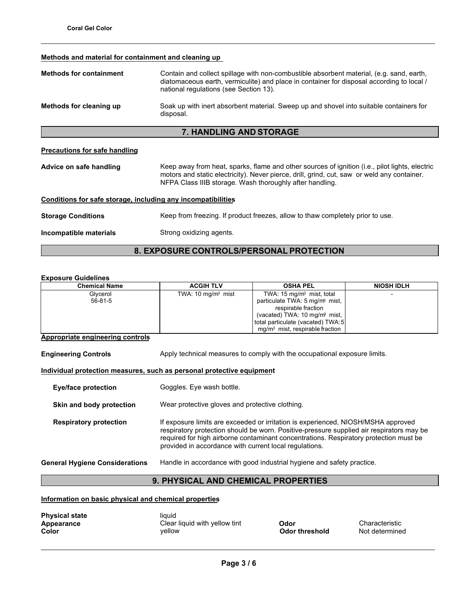## **Methods and material for containment and cleaning up**

| <b>Methods for containment</b>                               | Contain and collect spillage with non-combustible absorbent material, (e.g. sand, earth,<br>diatomaceous earth, vermiculite) and place in container for disposal according to local /<br>national regulations (see Section 13). |  |  |
|--------------------------------------------------------------|---------------------------------------------------------------------------------------------------------------------------------------------------------------------------------------------------------------------------------|--|--|
| Methods for cleaning up                                      | Soak up with inert absorbent material. Sweep up and shovel into suitable containers for<br>disposal.                                                                                                                            |  |  |
|                                                              | <b>7. HANDLING AND STORAGE</b>                                                                                                                                                                                                  |  |  |
| Precautions for safe handling                                | Keep away from heat, sparks, flame and other sources of ignition (i.e., pilot lights, electric                                                                                                                                  |  |  |
| Advice on safe handling                                      | motors and static electricity). Never pierce, drill, grind, cut, saw or weld any container.<br>NFPA Class IIIB storage. Wash thoroughly after handling.                                                                         |  |  |
| Conditions for safe storage, including any incompatibilities |                                                                                                                                                                                                                                 |  |  |
| <b>Storage Conditions</b>                                    | Keep from freezing. If product freezes, allow to thaw completely prior to use.                                                                                                                                                  |  |  |
| Incompatible materials                                       | Strong oxidizing agents.                                                                                                                                                                                                        |  |  |

# **8. EXPOSURE CONTROLS/PERSONAL PROTECTION**

## **Exposure Guidelines**

| <b>Chemical Name</b> | <b>ACGIH TLV</b>            | <b>OSHA PEL</b>                            | <b>NIOSH IDLH</b> |
|----------------------|-----------------------------|--------------------------------------------|-------------------|
| Glycerol             | TWA: $10 \text{ mg/m}$ mist | TWA: $15 \text{ mg/m}$ mist, total         |                   |
| $56 - 81 - 5$        |                             | particulate TWA: 5 mg/m <sup>3</sup> mist, |                   |
|                      |                             | respirable fraction                        |                   |
|                      |                             | (vacated) TWA: 10 mg/m <sup>3</sup> mist,  |                   |
|                      |                             | total particulate (vacated) TWA:5          |                   |
|                      |                             | $mq/m3$ mist, respirable fraction          |                   |

## **Appropriate engineering controls**

**Engineering Controls** Apply technical measures to comply with the occupational exposure limits.

## **Individual protection measures, such as personal protective equipment**

| <b>Eye/face protection</b>            | Goggles. Eye wash bottle.                                                                                                                                                                                                                                                                                                        |
|---------------------------------------|----------------------------------------------------------------------------------------------------------------------------------------------------------------------------------------------------------------------------------------------------------------------------------------------------------------------------------|
| Skin and body protection              | Wear protective gloves and protective clothing.                                                                                                                                                                                                                                                                                  |
| <b>Respiratory protection</b>         | If exposure limits are exceeded or irritation is experienced, NIOSH/MSHA approved<br>respiratory protection should be worn. Positive-pressure supplied air respirators may be<br>required for high airborne contaminant concentrations. Respiratory protection must be<br>provided in accordance with current local regulations. |
| <b>General Hygiene Considerations</b> | Handle in accordance with good industrial hygiene and safety practice.                                                                                                                                                                                                                                                           |

# **9. PHYSICAL AND CHEMICAL PROPERTIES**

**Information on basic physical and chemical properties**

| <b>Physical state</b> | liauid                        |                       |
|-----------------------|-------------------------------|-----------------------|
| Appearance            | Clear liquid with yellow tint | <b>Odor</b>           |
| Color                 | vellow                        | <b>Odor threshold</b> |

**Appearance Characteristic**<br>**A**<br>**A C**<br>**A C**<br>**A C**<br>**A C**<br>**C**<br>**A C**<br>**C**<br>**A C**<br>**C**<br>**A C**<br>**C**<br>**A C**<br>**C**<br>**A C**<br>**C Not determined**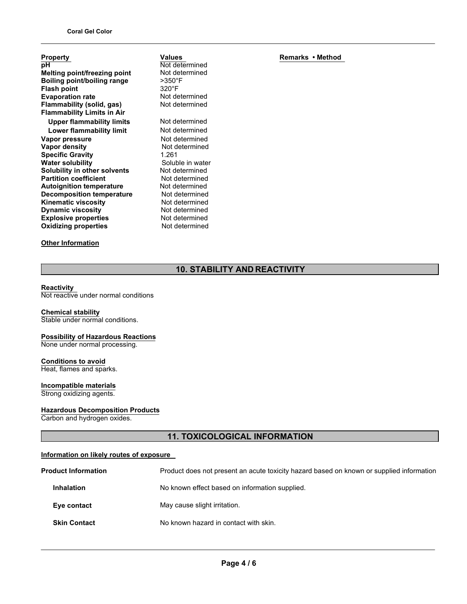| <b>Property</b>                     |
|-------------------------------------|
| рH                                  |
| <b>Melting point/freezing point</b> |
| Boiling point/boiling range         |
| <b>Flash point</b>                  |
| <b>Evaporation rate</b>             |
| Flammability (solid, gas)           |
| <b>Flammability Limits in Air</b>   |
| <b>Upper flammability limits</b>    |
| Lower flammability limit            |
| Vapor pressure                      |
| Vapor density                       |
| <b>Specific Gravity</b>             |
| <b>Water solubility</b>             |
| <b>Solubility in other solvents</b> |
| <b>Partition coefficient</b>        |
| <b>Autoignition temperature</b>     |
| <b>Decomposition temperature</b>    |
| <b>Kinematic viscosity</b>          |
| <b>Dynamic viscosity</b>            |
| <b>Explosive properties</b>         |
| <b>Oxidizing properties</b>         |
|                                     |

# **Other Information**

Not determined Not determined >350°F 320°F Not determined Not determined **Not determined Not determined Not determined Not determined Specific Gravity** 1.261 Soluble in water Not determined **Not determined Not determined Not determined Not determined Not determined Not determined Not determined** 

**Values**

# **Remarks • Method**

# **10. STABILITY AND REACTIVITY**

## **Reactivity**

Not reactive under normal conditions

# **Chemical stability**

Stable under normal conditions.

### **Possibility of Hazardous Reactions** None under normal processing.

**Conditions to avoid** Heat, flames and sparks.

# **Incompatible materials**

Strong oxidizing agents.

## **Hazardous Decomposition Products**

Carbon and hydrogen oxides.

# **11. TOXICOLOGICAL INFORMATION**

## **Information on likely routes of exposure**

| <b>Product Information</b> | Product does not present an acute toxicity hazard based on known or supplied information |
|----------------------------|------------------------------------------------------------------------------------------|
| <b>Inhalation</b>          | No known effect based on information supplied.                                           |
| Eye contact                | May cause slight irritation.                                                             |
| <b>Skin Contact</b>        | No known hazard in contact with skin.                                                    |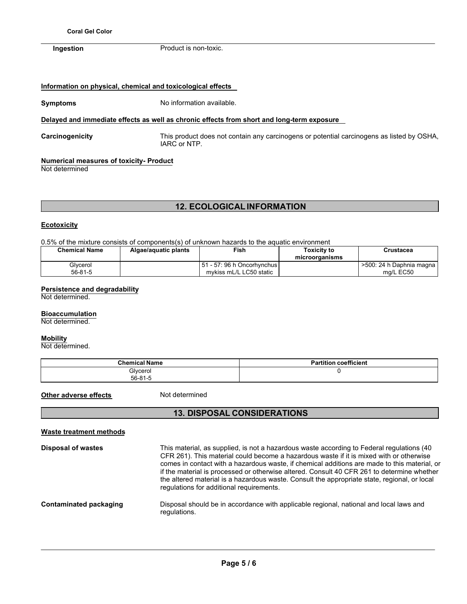**Ingestion** Product is non-toxic.

# **Information on physical, chemical and toxicological effects**

**Symptoms** No information available.

## **Delayed and immediate effects as well as chronic effects from short and long-term exposure**

**Carcinogenicity** This product does not contain any carcinogens or potential carcinogens as listed by OSHA, IARC or NTP.

# **Numerical measures of toxicity- Product**

Not determined

# **12. ECOLOGICAL INFORMATION**

## **Ecotoxicity**

0.5% of the mixture consists of components(s) of unknown hazards to the aquatic environment

| <b>Chemical Name</b> | Algae/aguatic plants | Fish                                                      | Toxicitv to<br>microorganisms | Crustacea                                 |
|----------------------|----------------------|-----------------------------------------------------------|-------------------------------|-------------------------------------------|
| Glvcerol<br>56-81-5  |                      | l 51 - 57: 96 h Oncorhvnchus l<br>mykiss mL/L LC50 static |                               | . >500: 24 h Daphnia magna I<br>ma/L EC50 |

# **Persistence and degradability**

Not determined.

## **Bioaccumulation**

Not determined.

## **Mobility**

Not determined.

| <b>Chemical Name</b>      | coefficient<br><b>Partition</b> |
|---------------------------|---------------------------------|
| Glycerol<br>$56 - 81 - 5$ |                                 |

**Other adverse effects** Not determined

# **13. DISPOSAL CONSIDERATIONS**

| <b>Waste treatment methods</b> |                                                                                                                                                                                                                                                                                                                                                                                                                                                                                                                                |
|--------------------------------|--------------------------------------------------------------------------------------------------------------------------------------------------------------------------------------------------------------------------------------------------------------------------------------------------------------------------------------------------------------------------------------------------------------------------------------------------------------------------------------------------------------------------------|
| <b>Disposal of wastes</b>      | This material, as supplied, is not a hazardous waste according to Federal regulations (40<br>CFR 261). This material could become a hazardous waste if it is mixed with or otherwise<br>comes in contact with a hazardous waste, if chemical additions are made to this material, or<br>if the material is processed or otherwise altered. Consult 40 CFR 261 to determine whether<br>the altered material is a hazardous waste. Consult the appropriate state, regional, or local<br>regulations for additional requirements. |
| Contaminated packaging         | Disposal should be in accordance with applicable regional, national and local laws and<br>regulations.                                                                                                                                                                                                                                                                                                                                                                                                                         |